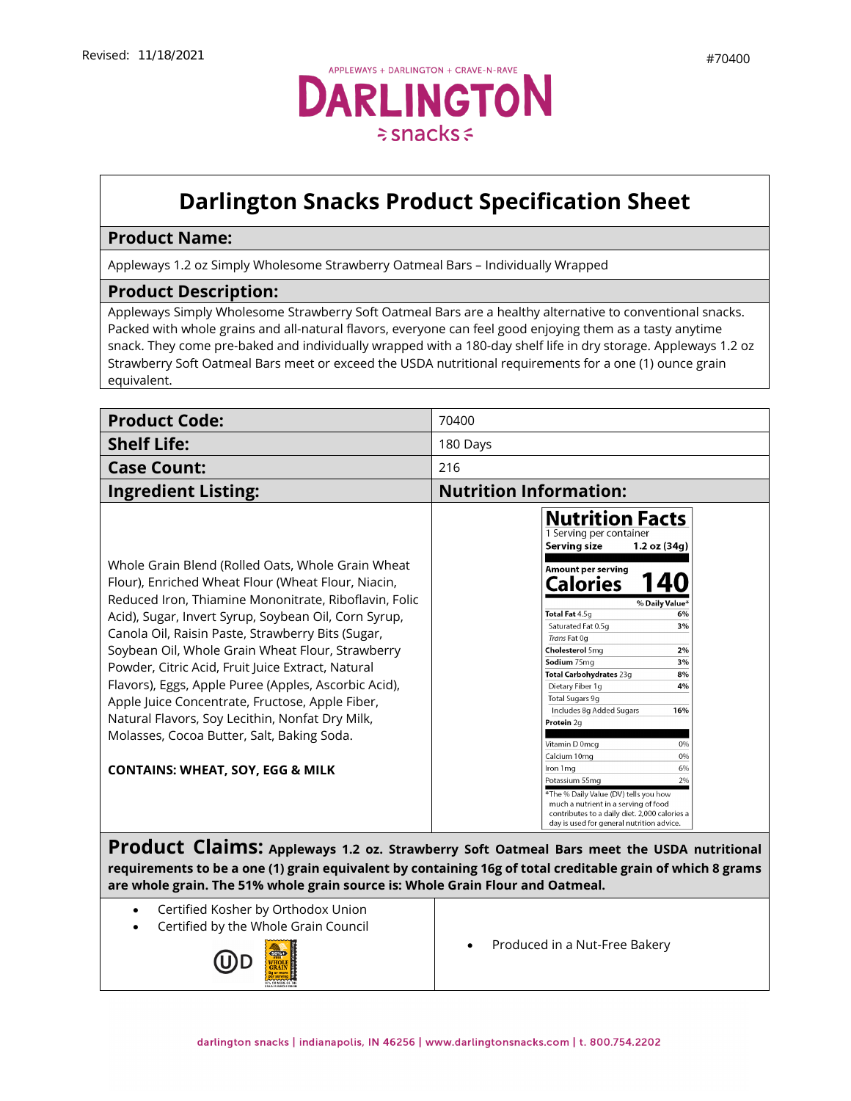

## **Darlington Snacks Product Specification Sheet**

## **Product Name:**

Appleways 1.2 oz Simply Wholesome Strawberry Oatmeal Bars – Individually Wrapped

## **Product Description:**

Appleways Simply Wholesome Strawberry Soft Oatmeal Bars are a healthy alternative to conventional snacks. Packed with whole grains and all-natural flavors, everyone can feel good enjoying them as a tasty anytime snack. They come pre-baked and individually wrapped with a 180-day shelf life in dry storage. Appleways 1.2 oz Strawberry Soft Oatmeal Bars meet or exceed the USDA nutritional requirements for a one (1) ounce grain equivalent.

| <b>Product Code:</b>                                                                                                                                                                                                                                                                                                                                                                                                                                                                                                                                                                                                                              | 70400                                                                                                                                                                                                                                                                                                                                                                                                                                                                                                                                                                                                                                                                        |
|---------------------------------------------------------------------------------------------------------------------------------------------------------------------------------------------------------------------------------------------------------------------------------------------------------------------------------------------------------------------------------------------------------------------------------------------------------------------------------------------------------------------------------------------------------------------------------------------------------------------------------------------------|------------------------------------------------------------------------------------------------------------------------------------------------------------------------------------------------------------------------------------------------------------------------------------------------------------------------------------------------------------------------------------------------------------------------------------------------------------------------------------------------------------------------------------------------------------------------------------------------------------------------------------------------------------------------------|
| <b>Shelf Life:</b>                                                                                                                                                                                                                                                                                                                                                                                                                                                                                                                                                                                                                                | 180 Days                                                                                                                                                                                                                                                                                                                                                                                                                                                                                                                                                                                                                                                                     |
| <b>Case Count:</b>                                                                                                                                                                                                                                                                                                                                                                                                                                                                                                                                                                                                                                | 216                                                                                                                                                                                                                                                                                                                                                                                                                                                                                                                                                                                                                                                                          |
| <b>Ingredient Listing:</b>                                                                                                                                                                                                                                                                                                                                                                                                                                                                                                                                                                                                                        | <b>Nutrition Information:</b>                                                                                                                                                                                                                                                                                                                                                                                                                                                                                                                                                                                                                                                |
| Whole Grain Blend (Rolled Oats, Whole Grain Wheat<br>Flour), Enriched Wheat Flour (Wheat Flour, Niacin,<br>Reduced Iron, Thiamine Mononitrate, Riboflavin, Folic<br>Acid), Sugar, Invert Syrup, Soybean Oil, Corn Syrup,<br>Canola Oil, Raisin Paste, Strawberry Bits (Sugar,<br>Soybean Oil, Whole Grain Wheat Flour, Strawberry<br>Powder, Citric Acid, Fruit Juice Extract, Natural<br>Flavors), Eggs, Apple Puree (Apples, Ascorbic Acid),<br>Apple Juice Concentrate, Fructose, Apple Fiber,<br>Natural Flavors, Soy Lecithin, Nonfat Dry Milk,<br>Molasses, Cocoa Butter, Salt, Baking Soda.<br><b>CONTAINS: WHEAT, SOY, EGG &amp; MILK</b> | <b>Nutrition Facts</b><br>1 Serving per container<br><b>Serving size</b><br>1.2 oz (34g)<br>Amount per serving<br>Calories<br>% Daily Value*<br>Total Fat 4.5g<br>6%<br>Saturated Fat 0.5g<br>3%<br>Trans Fat 0g<br><b>Cholesterol</b> 5ma<br>2%<br>Sodium 75mg<br>3%<br>Total Carbohydrates 23g<br>8%<br>Dietary Fiber 1q<br>4%<br>Total Sugars 9g<br>Includes 8g Added Sugars<br>16%<br>Protein 2g<br>Vitamin D 0mcq<br>0%<br>Calcium 10mg<br>0%<br>Iron 1 ma<br>6%<br>Potassium 55mg<br>2%<br>*The % Daily Value (DV) tells you how<br>much a nutrient in a serving of food<br>contributes to a daily diet. 2,000 calories a<br>day is used for general nutrition advice. |

**Product Claims: Appleways 1.2 oz. Strawberry Soft Oatmeal Bars meet the USDA nutritional requirements to be a one (1) grain equivalent by containing 16g of total creditable grain of which 8 grams are whole grain. The 51% whole grain source is: Whole Grain Flour and Oatmeal.**

- Certified Kosher by Orthodox Union
- Certified by the Whole Grain Council



• [Produced](https://darlingtonfarms.serverdata.net/Marketing/Product/Internal%20Spec%20Sheets%20DO%20NOT%20USE!/Vending%20Appleways%20Spec%20Sheet%20-%2070120%20-%201%202%20oz%20-%20Apple%20Oatmeal.doc) in a Nut-Free Bakery